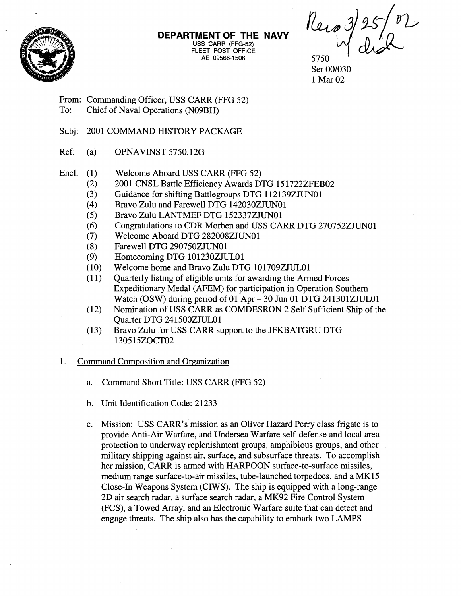

**DEPARTMENT OF THE NAVY USS CARR** (FFG-52) FLEET POST OFFICE<br>AE 09566-1506

Reco 3/25/02

5750 ' Ser 00/030 1 Mar 02

From: Commanding Officer, USS CARR (FFG 52)

- To: Chief of Naval Operations (N09BH)
- Subj: 2001 COMMAND HISTORY PACKAGE
- Ref: (a) OPNAVINST 5750.126
- Encl:  $(1)$ Welcome Aboard USS CARR (FFG 52)
	- (2) 2001 CNSL Battle Efficiency Awards DTG 15 1722ZFEB02
	- (3) Guidance for shifting Battlegroups DTG 112139ZJUN01
	- (4) Bravo Zulu and Farewell DTG 142030ZJUNOl
	- (5) Bravo Zulu LANTMEF DTG 152337ZJUN01
	- *(6)*  Congratulations to CDR Morben and USS CARR DTG 270752ZJUNOl
	- (7) Welcome Aboard DTG 282008ZJUNOl
	- (8) Farewell DTG 290750ZJUN01
	- **(9)**  Homecoming DTG 101230ZJUL01
	- (10) Welcome home and Bravo Zulu DTG 101709ZJULOl
	- $(11)$ Quarterly listing of eligible units for awarding the Armed Forces Expeditionary Medal (AFEM) for participation in Operation Southern Watch (OSW) during period of 01 Apr – 30 Jun 01 DTG 241301ZJUL01
	- $(12)$ Nomination of USS CARR as COMDESRON 2 Self Sufficient Ship of the Quarter DTG 241500ZJUL01
	- $(13)$ Bravo Zulu for USS CARR support to the JFKBATGRU DTG 1305 15ZOCT02

## 1. Command Composition and Organization

- a. Command Short Title: USS CARR (FFG 52)
- b. Unit Identification Code: 21233
- c. Mission: USS CARR's mission as an Oliver Hazard Perry class frigate is to provide Anti-Air Warfare, and Undersea Warfare self-defense and local area protection to underway replenishment groups, amphibious groups, and other military shipping against air, surface, and subsurface threats. To accomplish her mission, CARR is armed with HARPOON surface-to-surface missiles, medium range surface-to-air missiles, tube-launched torpedoes, and a MK15 Close-In Weapons System (CIWS). The ship is equipped with a long-range 2D air search radar, a surface search radar, a MK92 Fire Control System (FCS), a Towed Array, and an Electronic Warfare suite that can detect and engage threats. The ship also has the capability to embark two LAMPS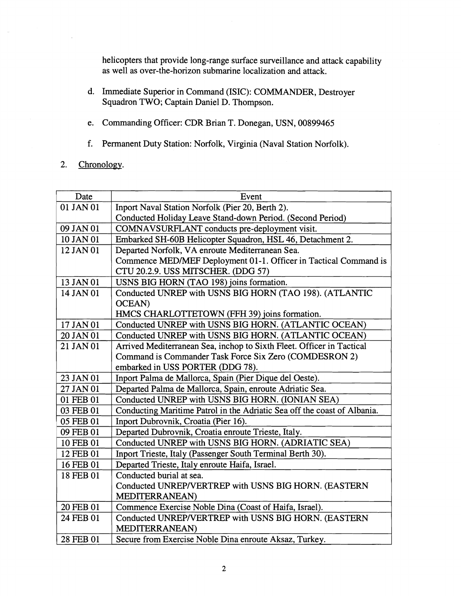helicopters that provide long-range surface surveillance and attack capability as well as over-the-horizon submarine localization and attack.

- d. Immediate Superior in Command (ISIC): COMMANDER, Destroyer Squadron TWO; Captain Daniel D. Thompson.
- e. Commanding Officer: CDR Brian T. Donegan, USN, 00899465
- f. Permanent Duty Station: Norfolk, Virginia (Naval Station Norfolk).
- $2.$ Chronology.

| Date      | Event                                                                    |
|-----------|--------------------------------------------------------------------------|
| 01 JAN 01 | Inport Naval Station Norfolk (Pier 20, Berth 2).                         |
|           | Conducted Holiday Leave Stand-down Period. (Second Period)               |
| 09 JAN 01 | COMNAVSURFLANT conducts pre-deployment visit.                            |
| 10 JAN 01 | Embarked SH-60B Helicopter Squadron, HSL 46, Detachment 2.               |
| 12 JAN 01 | Departed Norfolk, VA enroute Mediterranean Sea.                          |
|           | Commence MED/MEF Deployment 01-1. Officer in Tactical Command is         |
|           | CTU 20.2.9. USS MITSCHER. (DDG 57)                                       |
| 13 JAN 01 | USNS BIG HORN (TAO 198) joins formation.                                 |
| 14 JAN 01 | Conducted UNREP with USNS BIG HORN (TAO 198). (ATLANTIC                  |
|           | <b>OCEAN</b> )                                                           |
|           | HMCS CHARLOTTETOWN (FFH 39) joins formation.                             |
| 17 JAN 01 | Conducted UNREP with USNS BIG HORN. (ATLANTIC OCEAN)                     |
| 20 JAN 01 | Conducted UNREP with USNS BIG HORN. (ATLANTIC OCEAN)                     |
| 21 JAN 01 | Arrived Mediterranean Sea, inchop to Sixth Fleet. Officer in Tactical    |
|           | Command is Commander Task Force Six Zero (COMDESRON 2)                   |
|           | embarked in USS PORTER (DDG 78).                                         |
| 23 JAN 01 | Inport Palma de Mallorca, Spain (Pier Dique del Oeste).                  |
| 27 JAN 01 | Departed Palma de Mallorca, Spain, enroute Adriatic Sea.                 |
| 01 FEB 01 | Conducted UNREP with USNS BIG HORN. (IONIAN SEA)                         |
| 03 FEB 01 | Conducting Maritime Patrol in the Adriatic Sea off the coast of Albania. |
| 05 FEB 01 | Inport Dubrovnik, Croatia (Pier 16).                                     |
| 09 FEB 01 | Departed Dubrovnik, Croatia enroute Trieste, Italy.                      |
| 10 FEB 01 | Conducted UNREP with USNS BIG HORN. (ADRIATIC SEA)                       |
| 12 FEB 01 | Inport Trieste, Italy (Passenger South Terminal Berth 30).               |
| 16 FEB 01 | Departed Trieste, Italy enroute Haifa, Israel.                           |
| 18 FEB 01 | Conducted burial at sea.                                                 |
|           | Conducted UNREP/VERTREP with USNS BIG HORN. (EASTERN                     |
|           | <b>MEDITERRANEAN</b> )                                                   |
| 20 FEB 01 | Commence Exercise Noble Dina (Coast of Haifa, Israel).                   |
| 24 FEB 01 | Conducted UNREP/VERTREP with USNS BIG HORN. (EASTERN                     |
|           | MEDITERRANEAN)                                                           |
| 28 FEB 01 | Secure from Exercise Noble Dina enroute Aksaz, Turkey.                   |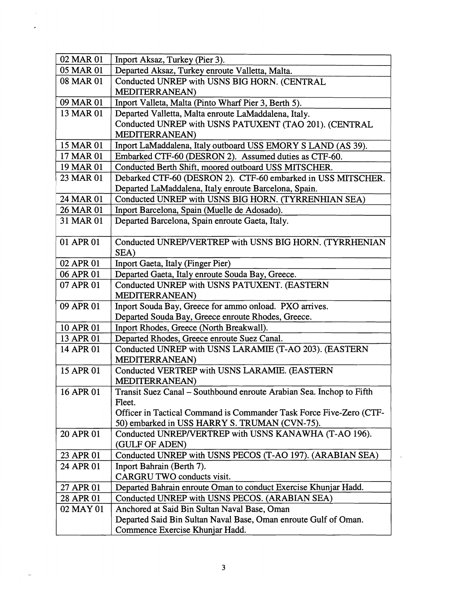| 02 MAR 01 | Inport Aksaz, Turkey (Pier 3).                                                   |
|-----------|----------------------------------------------------------------------------------|
| 05 MAR 01 | Departed Aksaz, Turkey enroute Valletta, Malta.                                  |
| 08 MAR 01 | Conducted UNREP with USNS BIG HORN. (CENTRAL                                     |
|           | MEDITERRANEAN)                                                                   |
| 09 MAR 01 | Inport Valleta, Malta (Pinto Wharf Pier 3, Berth 5).                             |
| 13 MAR 01 | Departed Valletta, Malta enroute LaMaddalena, Italy.                             |
|           | Conducted UNREP with USNS PATUXENT (TAO 201). (CENTRAL                           |
|           | MEDITERRANEAN)                                                                   |
| 15 MAR 01 | Inport LaMaddalena, Italy outboard USS EMORY S LAND (AS 39).                     |
| 17 MAR 01 | Embarked CTF-60 (DESRON 2). Assumed duties as CTF-60.                            |
| 19 MAR 01 | Conducted Berth Shift, moored outboard USS MITSCHER.                             |
| 23 MAR 01 | Debarked CTF-60 (DESRON 2). CTF-60 embarked in USS MITSCHER.                     |
|           | Departed LaMaddalena, Italy enroute Barcelona, Spain.                            |
| 24 MAR 01 | Conducted UNREP with USNS BIG HORN. (TYRRENHIAN SEA)                             |
| 26 MAR 01 | Inport Barcelona, Spain (Muelle de Adosado).                                     |
| 31 MAR 01 | Departed Barcelona, Spain enroute Gaeta, Italy.                                  |
|           |                                                                                  |
| 01 APR 01 | Conducted UNREP/VERTREP with USNS BIG HORN. (TYRRHENIAN                          |
|           | SEA)                                                                             |
| 02 APR 01 | Inport Gaeta, Italy (Finger Pier)                                                |
| 06 APR 01 | Departed Gaeta, Italy enroute Souda Bay, Greece.                                 |
| 07 APR 01 | Conducted UNREP with USNS PATUXENT. (EASTERN                                     |
|           | MEDITERRANEAN)                                                                   |
| 09 APR 01 | Inport Souda Bay, Greece for ammo onload. PXO arrives.                           |
|           | Departed Souda Bay, Greece enroute Rhodes, Greece.                               |
| 10 APR 01 | Inport Rhodes, Greece (North Breakwall).                                         |
| 13 APR 01 | Departed Rhodes, Greece enroute Suez Canal.                                      |
| 14 APR 01 | Conducted UNREP with USNS LARAMIE (T-AO 203). (EASTERN<br><b>MEDITERRANEAN</b> ) |
| 15 APR 01 | Conducted VERTREP with USNS LARAMIE. (EASTERN                                    |
|           | MEDITERRANEAN)                                                                   |
| 16 APR 01 | Transit Suez Canal - Southbound enroute Arabian Sea. Inchop to Fifth             |
|           | Fleet.                                                                           |
|           | Officer in Tactical Command is Commander Task Force Five-Zero (CTF-              |
|           | 50) embarked in USS HARRY S. TRUMAN (CVN-75).                                    |
| 20 APR 01 | Conducted UNREP/VERTREP with USNS KANAWHA (T-AO 196).                            |
|           | (GULF OF ADEN)                                                                   |
| 23 APR 01 | Conducted UNREP with USNS PECOS (T-AO 197). (ARABIAN SEA)                        |
| 24 APR 01 | Inport Bahrain (Berth 7).                                                        |
|           | CARGRU TWO conducts visit.                                                       |
| 27 APR 01 | Departed Bahrain enroute Oman to conduct Exercise Khunjar Hadd.                  |
| 28 APR 01 | Conducted UNREP with USNS PECOS. (ARABIAN SEA)                                   |
| 02 MAY 01 | Anchored at Said Bin Sultan Naval Base, Oman                                     |
|           | Departed Said Bin Sultan Naval Base, Oman enroute Gulf of Oman.                  |
|           | Commence Exercise Khunjar Hadd.                                                  |

 $\mathcal{L}_{\text{max}}$  $\mathcal{L}_{\text{max}}$ 

 $\mathbb{Z}^2$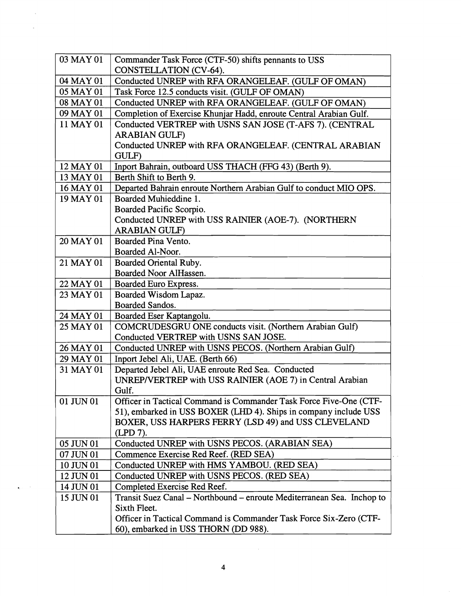| 03 MAY 01 | Commander Task Force (CTF-50) shifts pennants to USS                   |
|-----------|------------------------------------------------------------------------|
|           | CONSTELLATION (CV-64).                                                 |
| 04 MAY 01 | Conducted UNREP with RFA ORANGELEAF. (GULF OF OMAN)                    |
| 05 MAY 01 | Task Force 12.5 conducts visit. (GULF OF OMAN)                         |
| 08 MAY 01 | Conducted UNREP with RFA ORANGELEAF. (GULF OF OMAN)                    |
| 09 MAY 01 | Completion of Exercise Khunjar Hadd, enroute Central Arabian Gulf.     |
| 11 MAY 01 | Conducted VERTREP with USNS SAN JOSE (T-AFS 7). (CENTRAL               |
|           | <b>ARABIAN GULF)</b>                                                   |
|           | Conducted UNREP with RFA ORANGELEAF. (CENTRAL ARABIAN<br>GULF)         |
| 12 MAY 01 | Inport Bahrain, outboard USS THACH (FFG 43) (Berth 9).                 |
| 13 MAY 01 | Berth Shift to Berth 9.                                                |
| 16 MAY 01 | Departed Bahrain enroute Northern Arabian Gulf to conduct MIO OPS.     |
| 19 MAY 01 | Boarded Muhieddine 1.                                                  |
|           | Boarded Pacific Scorpio.                                               |
|           | Conducted UNREP with USS RAINIER (AOE-7). (NORTHERN                    |
|           | <b>ARABIAN GULF)</b>                                                   |
| 20 MAY 01 | Boarded Pina Vento.                                                    |
|           | Boarded Al-Noor.                                                       |
| 21 MAY 01 | Boarded Oriental Ruby.                                                 |
|           | Boarded Noor AlHassen.                                                 |
| 22 MAY 01 | Boarded Euro Express.                                                  |
| 23 MAY 01 | Boarded Wisdom Lapaz.                                                  |
|           | Boarded Sandos.                                                        |
| 24 MAY 01 | Boarded Eser Kaptangolu.                                               |
| 25 MAY 01 | COMCRUDESGRU ONE conducts visit. (Northern Arabian Gulf)               |
|           | Conducted VERTREP with USNS SAN JOSE.                                  |
| 26 MAY 01 | Conducted UNREP with USNS PECOS. (Northern Arabian Gulf)               |
| 29 MAY 01 | Inport Jebel Ali, UAE. (Berth 66)                                      |
| 31 MAY 01 | Departed Jebel Ali, UAE enroute Red Sea. Conducted                     |
|           | UNREP/VERTREP with USS RAINIER (AOE 7) in Central Arabian              |
|           | Gulf.                                                                  |
| 01 JUN 01 | Officer in Tactical Command is Commander Task Force Five-One (CTF-     |
|           | 51), embarked in USS BOXER (LHD 4). Ships in company include USS       |
|           | BOXER, USS HARPERS FERRY (LSD 49) and USS CLEVELAND                    |
|           | (LPD 7).                                                               |
| 05 JUN 01 | Conducted UNREP with USNS PECOS. (ARABIAN SEA)                         |
| 07 JUN 01 | Commence Exercise Red Reef. (RED SEA)                                  |
| 10 JUN 01 | Conducted UNREP with HMS YAMBOU. (RED SEA)                             |
| 12 JUN 01 | Conducted UNREP with USNS PECOS. (RED SEA)                             |
| 14 JUN 01 | Completed Exercise Red Reef.                                           |
| 15 JUN 01 | Transit Suez Canal – Northbound – enroute Mediterranean Sea. Inchop to |
|           | Sixth Fleet.                                                           |
|           | Officer in Tactical Command is Commander Task Force Six-Zero (CTF-     |
|           | 60), embarked in USS THORN (DD 988).                                   |

 $\frac{1}{2} \frac{1}{2} \frac{1}{2} \frac{1}{2} \frac{1}{2}$  $\label{eq:2.1} \frac{1}{\sqrt{2}}\int_{0}^{\infty}\frac{1}{\sqrt{2\pi}}\left(\frac{1}{\sqrt{2\pi}}\right)^{2}d\mu\,d\mu\,.$ 

 $\frac{1}{2} \int_{\mathbb{R}^2} \left( \frac{1}{\sqrt{2}} \right)^2 \, \mathrm{d}x$ 

 $\mathcal{L}^{\text{max}}_{\text{max}}$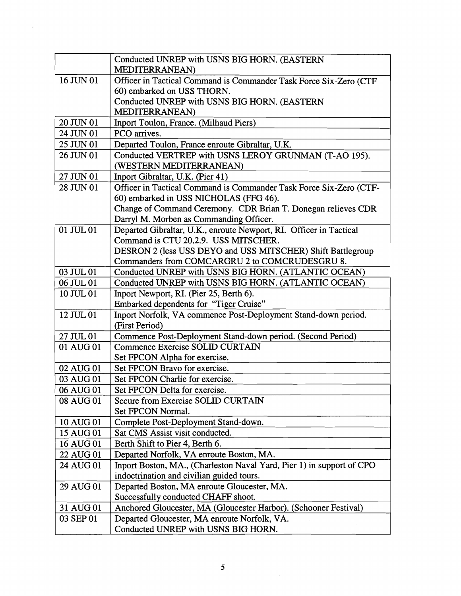|             | Conducted UNREP with USNS BIG HORN. (EASTERN                          |
|-------------|-----------------------------------------------------------------------|
|             | <b>MEDITERRANEAN</b>                                                  |
| 16 JUN 01   | Officer in Tactical Command is Commander Task Force Six-Zero (CTF     |
|             | 60) embarked on USS THORN.                                            |
|             | Conducted UNREP with USNS BIG HORN. (EASTERN                          |
|             | MEDITERRANEAN)                                                        |
| 20 JUN 01   | Inport Toulon, France. (Milhaud Piers)                                |
| 24 JUN 01   | PCO arrives.                                                          |
| 25 JUN 01   | Departed Toulon, France enroute Gibraltar, U.K.                       |
| 26 JUN 01   | Conducted VERTREP with USNS LEROY GRUNMAN (T-AO 195).                 |
|             | (WESTERN MEDITERRANEAN)                                               |
| 27 JUN 01   | Inport Gibraltar, U.K. (Pier 41)                                      |
| 28 JUN 01   | Officer in Tactical Command is Commander Task Force Six-Zero (CTF-    |
|             | 60) embarked in USS NICHOLAS (FFG 46).                                |
|             | Change of Command Ceremony. CDR Brian T. Donegan relieves CDR         |
|             | Darryl M. Morben as Commanding Officer.                               |
| 01 JUL $01$ | Departed Gibraltar, U.K., enroute Newport, RI. Officer in Tactical    |
|             | Command is CTU 20.2.9. USS MITSCHER.                                  |
|             | DESRON 2 (less USS DEYO and USS MITSCHER) Shift Battlegroup           |
|             | Commanders from COMCARGRU 2 to COMCRUDESGRU 8.                        |
| 03 JUL 01   | Conducted UNREP with USNS BIG HORN. (ATLANTIC OCEAN)                  |
| 06 JUL 01   | Conducted UNREP with USNS BIG HORN. (ATLANTIC OCEAN)                  |
| 10 JUL 01   | Inport Newport, RI. (Pier 25, Berth 6).                               |
|             | Embarked dependents for "Tiger Cruise"                                |
| 12 JUL 01   | Inport Norfolk, VA commence Post-Deployment Stand-down period.        |
|             | (First Period)                                                        |
| 27 JUL 01   | Commence Post-Deployment Stand-down period. (Second Period)           |
| 01 AUG 01   | Commence Exercise SOLID CURTAIN                                       |
|             | Set FPCON Alpha for exercise.                                         |
| 02 AUG 01   | Set FPCON Bravo for exercise.                                         |
| 03 AUG 01   | Set FPCON Charlie for exercise.                                       |
| 06 AUG 01   | Set FPCON Delta for exercise                                          |
| 08 AUG 01   | Secure from Exercise SOLID CURTAIN                                    |
|             | Set FPCON Normal.                                                     |
| 10 AUG 01   | Complete Post-Deployment Stand-down.                                  |
| 15 AUG 01   | Sat CMS Assist visit conducted.                                       |
| 16 AUG 01   | Berth Shift to Pier 4, Berth 6.                                       |
| 22 AUG 01   | Departed Norfolk, VA enroute Boston, MA.                              |
| 24 AUG 01   | Inport Boston, MA., (Charleston Naval Yard, Pier 1) in support of CPO |
|             | indoctrination and civilian guided tours.                             |
| 29 AUG 01   | Departed Boston, MA enroute Gloucester, MA.                           |
|             | Successfully conducted CHAFF shoot.                                   |
| 31 AUG 01   | Anchored Gloucester, MA (Gloucester Harbor). (Schooner Festival)      |
| 03 SEP 01   | Departed Gloucester, MA enroute Norfolk, VA.                          |
|             | Conducted UNREP with USNS BIG HORN.                                   |

 $\label{eq:2.1} \frac{1}{\sqrt{2}}\sum_{i=1}^n\frac{1}{\sqrt{2}}\sum_{j=1}^n\frac{1}{j!}\sum_{j=1}^n\frac{1}{j!}\sum_{j=1}^n\frac{1}{j!}\sum_{j=1}^n\frac{1}{j!}\sum_{j=1}^n\frac{1}{j!}\sum_{j=1}^n\frac{1}{j!}\sum_{j=1}^n\frac{1}{j!}\sum_{j=1}^n\frac{1}{j!}\sum_{j=1}^n\frac{1}{j!}\sum_{j=1}^n\frac{1}{j!}\sum_{j=1}^n\frac{1}{j!}\sum_{j=1$ 

 $\label{eq:2} \frac{1}{\sqrt{2}}\int_{0}^{\infty}\frac{1}{\sqrt{2\pi}}\left(\frac{1}{\sqrt{2\pi}}\right)^{2}d\mu_{\rm{eff}}$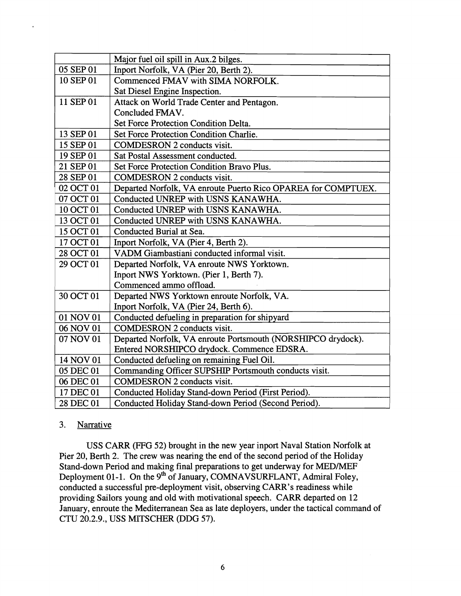|           | Major fuel oil spill in Aux.2 bilges.                         |
|-----------|---------------------------------------------------------------|
| 05 SEP 01 | Inport Norfolk, VA (Pier 20, Berth 2).                        |
| 10 SEP 01 | Commenced FMAV with SIMA NORFOLK.                             |
|           | Sat Diesel Engine Inspection.                                 |
| 11 SEP 01 | Attack on World Trade Center and Pentagon.                    |
|           | Concluded FMAV.                                               |
|           | Set Force Protection Condition Delta.                         |
| 13 SEP 01 | Set Force Protection Condition Charlie.                       |
| 15 SEP 01 | <b>COMDESRON 2 conducts visit.</b>                            |
| 19 SEP 01 | Sat Postal Assessment conducted.                              |
| 21 SEP 01 | Set Force Protection Condition Bravo Plus.                    |
| 28 SEP 01 | <b>COMDESRON 2 conducts visit.</b>                            |
| 02 OCT 01 | Departed Norfolk, VA enroute Puerto Rico OPAREA for COMPTUEX. |
| 07 OCT 01 | Conducted UNREP with USNS KANAWHA.                            |
| 10 OCT 01 | Conducted UNREP with USNS KANAWHA.                            |
| 13 OCT 01 | Conducted UNREP with USNS KANAWHA.                            |
| 15 OCT 01 | Conducted Burial at Sea.                                      |
| 17 OCT 01 | Inport Norfolk, VA (Pier 4, Berth 2).                         |
| 28 OCT 01 | VADM Giambastiani conducted informal visit.                   |
| 29 OCT 01 | Departed Norfolk, VA enroute NWS Yorktown.                    |
|           | Inport NWS Yorktown. (Pier 1, Berth 7).                       |
|           | Commenced ammo offload.                                       |
| 30 OCT 01 | Departed NWS Yorktown enroute Norfolk, VA.                    |
|           | Inport Norfolk, VA (Pier 24, Berth 6).                        |
| 01 NOV 01 | Conducted defueling in preparation for shipyard               |
| 06 NOV 01 | <b>COMDESRON 2 conducts visit.</b>                            |
| 07 NOV 01 | Departed Norfolk, VA enroute Portsmouth (NORSHIPCO drydock).  |
|           | Entered NORSHIPCO drydock. Commence EDSRA.                    |
| 14 NOV 01 | Conducted defueling on remaining Fuel Oil.                    |
| 05 DEC 01 | Commanding Officer SUPSHIP Portsmouth conducts visit.         |
| 06 DEC 01 | <b>COMDESRON 2 conducts visit.</b>                            |
| 17 DEC 01 | Conducted Holiday Stand-down Period (First Period).           |
| 28 DEC 01 | Conducted Holiday Stand-down Period (Second Period).          |

## 3. Narrative

 $\overline{a}$ 

USS CARR (FFG 52) brought in the new year inport Naval Station Norfolk at Pier 20, Berth 2. The crew was nearing the end of the second period of the Holiday Stand-down Period and making final preparations to get underway for MED/MEF Deployment 01-1. On the 9<sup>th</sup> of January, COMNAVSURFLANT, Admiral Foley, conducted a successful pre-deployment visit, observing CARR's readiness while providing Sailors young and old with motivational speech. CARR departed on 12 January, enroute the Mediterranean Sea as late deployers, under the tactical command of CTU 20.2.9., USS MITSCHER (DDG 57).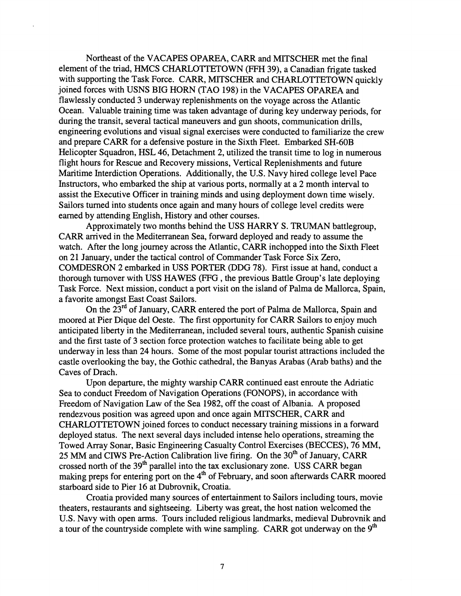Northeast of the VACAPES OPAREA, CARR and MITSCHER met the final element of the triad, HMCS CHARLOTTETOWN (FFH 39), a Canadian frigate tasked with supporting the Task Force. CARR, MITSCHER and CHARLOTTETOWN quickly joined forces with USNS BIG HORN (TAO 198) in the VACAPES OPAREA and flawlessly conducted 3 underway replenishments on the voyage across the Atlantic Ocean. Valuable training time was taken advantage of during key underway periods, for during the transit, several tactical maneuvers and gun shoots, communication drills, engineering evolutions and visual signal exercises were conducted to familiarize the crew and prepare CARR for a defensive posture in the Sixth Fleet. Embarked SH-60B Helicopter Squadron, HSL 46, Detachment 2, utilized the transit time to log in numerous flight hours for Rescue and Recovery missions, Vertical Replenishments and future Maritime Interdiction Operations. Additionally, the U.S. Navy hired college level Pace Instructors, who embarked the ship at various ports, normally at a 2 month interval to assist the Executive Officer in training minds and using deployment down time wisely. Sailors turned into students once again and many hours of college level credits were earned by attending English, History and other courses.

Approximately two months behind the USS HARRY S. TRUMAN battlegroup, CARR arrived in the Mediterranean Sea, forward deployed and ready to assume the watch. After the long journey across the Atlantic, CARR inchopped into the Sixth Fleet on 21 January, under the tactical control of Commander Task Force Six Zero, COMDESRON 2 embarked in USS PORTER (DDG 78). First issue at hand, conduct a thorough turnover with USS HAWES (FFG , the previous Battle Group's late deploying Task Force. Next mission, conduct a port visit on the island of Palma de Mallorca, Spain, a favorite amongst East Coast Sailors.

On the 23<sup>rd</sup> of January, CARR entered the port of Palma de Mallorca, Spain and moored at Pier Dique del Oeste. The first opportunity for CARR Sailors to enjoy much anticipated liberty in the Mediterranean, included several tours, authentic Spanish cuisine and the first taste of **3** section force protection watches to facilitate being able to get underway in less than 24 hours. Some of the most popular tourist attractions included the castle overlooking the bay, the Gothic cathedral, the Banyas Arabas (Arab baths) and the Caves of Drach.

Upon departure, the mighty warship CARR continued east enroute the Adriatic Sea to conduct Freedom of Navigation Operations (FONOPS), in accordance with Freedom of Navigation Law of the Sea 1982, off the coast of Albania. A proposed rendezvous position was agreed upon and once again MITSCHER, CARR and CHARLOTTETOWN joined forces to conduct necessary training missions in a forward deployed status. The next several days included intense helo operations, streaming the Towed Array Sonar, Basic Engineering Casualty Control Exercises (BECCES), 76 MM, 25 MM and CIWS Pre-Action Calibration live firing. On the 30<sup>th</sup> of January, CARR crossed north of the  $39<sup>th</sup>$  parallel into the tax exclusionary zone. USS CARR began making preps for entering port on the  $4<sup>th</sup>$  of February, and soon afterwards CARR moored starboard side to Pier 16 at Dubrovnik, Croatia.

Croatia provided many sources of entertainment to Sailors including tours, movie theaters, restaurants and sightseeing. Liberty was great, the host nation welcomed the U.S. Navy with open arms. Tours included religious landmarks, medieval Dubrovnik and a tour of the countryside complete with wine sampling. CARR got underway on the  $9<sup>th</sup>$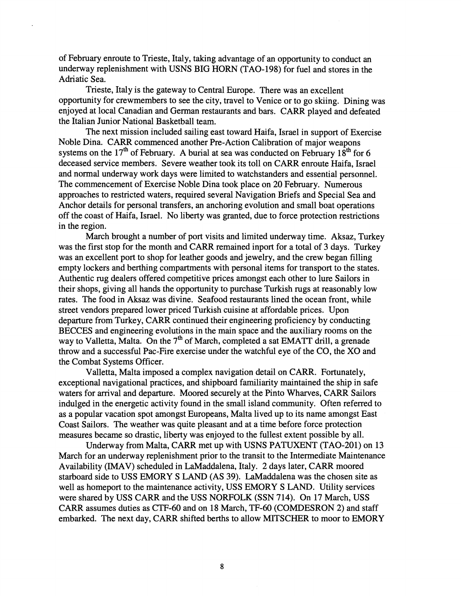of February enroute to Trieste, Italy, taking advantage of an opportunity to conduct an underway replenishment with USNS BIG HORN (TAO-198) for fuel and stores in the Adriatic Sea.

Trieste, Italy is the gateway to Central Europe. There was an excellent opportunity for crewmembers to see the city, travel to Venice or to go skiing. Dining was enjoyed at local Canadian and German restaurants and bars. CARR played and defeated the Italian Junior National Basketball team.

The next mission included sailing east toward Haifa, Israel in support of Exercise Noble Dina. CARR commenced another Pre-Action Calibration of major weapons systems on the  $17<sup>th</sup>$  of February. A burial at sea was conducted on February  $18<sup>th</sup>$  for 6 deceased service members. Severe weather took its toll on CARR enroute Haifa, Israel and normal underway work days were limited to watchstanders and essential personnel. The commencement of Exercise Noble Dina took place on 20 February. Numerous approaches to restricted waters, required several Navigation Briefs and Special Sea and Anchor details for personal transfers, an anchoring evolution and small boat operations off the coast of Haifa, Israel. No liberty was granted, due to force protection restrictions in the region.

March brought a number of port visits and limited underway time. Aksaz, Turkey was the first stop for the month and CARR remained inport for a total of 3 days. Turkey was an excellent port to shop for leather goods and jewelry, and the crew began filling empty lockers and berthing compartments with personal items for transport to the states. Authentic rug dealers offered competitive prices amongst each other to lure Sailors in their shops, giving all hands the opportunity to purchase Turkish rugs at reasonably low rates. The food in Aksaz was divine. Seafood restaurants lined the ocean front, while street vendors prepared lower priced Turkish cuisine at affordable prices. Upon departure from Turkey, CARR continued their engineering proficiency by conducting BECCES and engineering evolutions in the main space and the auxiliary rooms on the way to Valletta, Malta. On the  $7<sup>th</sup>$  of March, completed a sat EMATT drill, a grenade throw and a successful Pac-Fire exercise under the watchful eye of the CO, the XO and the Combat Systems Officer.

Valletta, Malta imposed a complex navigation detail on CARR. Fortunately, exceptional navigational practices, and shipboard familiarity maintained the ship in safe waters for arrival and departure. Moored securely at the Pinto Wharves, CARR Sailors indulged in the energetic activity found in the small island community. Often referred to as a popular vacation spot amongst Europeans, Malta lived up to its name amongst East Coast Sailors. The weather was quite pleasant and at a time before force protection measures became so drastic, liberty was enjoyed to the fullest extent possible by all.

Underway from Malta, CARR met up with USNS PATUXENT (TAO-201) on 13 March for an underway replenishment prior to the transit to the Intermediate Maintenance Availability **(IMAV)** scheduled in LaMaddalena, Italy. 2 days later, CARR moored starboard side to USS EMORY S LAND (AS 39). LaMaddalena was the chosen site as well as homeport to the maintenance activity, USS EMORY S LAND. Utility services were shared by USS CARR and the USS NORFOLK (SSN 714). On 17 March, USS CARR assumes duties as CTF-60 and on 18 March, TF-60 (COMDESRON 2) and staff embarked. The next day, CARR shifted berths to allow MITSCHER to moor to EMORY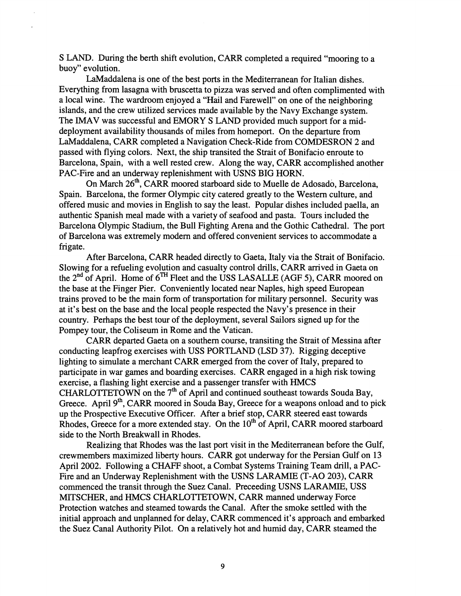S LAND. During the berth shift evolution, CARR completed a required "mooring to a buoy" evolution.

LaMaddalena is one of the best ports in the Mediterranean for Italian dishes. Everything from lasagna with bruscetta to pizza was served and often complimented with a local wine. The wardroom enjoyed a "Hail and Farewell" on one of the neighboring islands, and the crew utilized services made available by the Navy Exchange system. The IMAV was successful and EMORY S LAND provided much support for a middeployment availability thousands of miles from homeport. On the departure from LaMaddalena, CARR completed a Navigation Check-Ride from COMDESRON 2 and passed with flying colors. Next, the ship transited the Strait of Bonifacio enroute to Barcelona, Spain, with a well rested crew. Along the way, CARR accomplished another PAC-Fire and an underway replenishment with USNS BIG HORN.

On March 26", CARR moored starboard side to Muelle de Adosado, Barcelona, Spain. Barcelona, the former Olympic city catered greatly to the Western culture, and offered music and movies in English to say the least. Popular dishes included paella, an authentic Spanish meal made with a variety of seafood and pasta. Tours included the Barcelona Olympic Stadum, the Bull Fighting Arena and the Gothic Cathedral. The port of Barcelona was extremely modem and offered convenient services to accommodate a frigate.

After Barcelona, CARR headed directly to Gaeta, Italy via the Strait of Bonifacio. Slowing for a refueling evolution and casualty control drills, CARR arrived in Gaeta on the **2nd** of April. Home of 6TH Fleet and the USS LASALLE (AGF 5), CARR moored on the base at the Finger Pier. Conveniently located near Naples, high speed European trains proved to be the main form of transportation for military personnel. Security was at it's best on the base and the local people respected the Navy's presence in their country. Perhaps the best tour of the deployment, several Sailors signed up for the Pompey tour, the Coliseum in Rome and the Vatican.

CARR departed Gaeta on a southern course, transiting the Strait of Messina after conducting leapfrog exercises with USS PORTLAND (LSD 37). Rigging deceptive lighting to simulate a merchant CARR emerged from the cover of Italy, prepared to participate in war games and boarding exercises. CARR engaged in a high risk towing exercise, a flashing light exercise and a passenger transfer with HMCS CHARLOTTETOWN on the  $7<sup>th</sup>$  of April and continued southeast towards Souda Bay, Greece. April 9<sup>th</sup>, CARR moored in Souda Bay, Greece for a weapons onload and to pick up the Prospective Executive Officer. After a brief stop, CARR steered east towards Rhodes, Greece for a more extended stay. On the 10<sup>th</sup> of April, CARR moored starboard side to the North Breakwall in Rhodes.

Realizing that Rhodes was the last port visit in the Mediterranean before the Gulf, crewmembers maximized liberty hours. CARR got underway for the Persian Gulf on 13 April 2002. Following a CHAFF shoot, a Combat Systems Training Team drill, a PAC-Fire and an Underway Replenishment with the USNS LARAMIE (T-A0 203), CARR commenced the transit through the Suez Canal. Preceeding USNS LARAMIE, USS MITSCHER, and HMCS CHARLOTTETOWN, CARR manned underway Force Protection watches and steamed towards the Canal. After the smoke settled with the initial approach and unplanned for delay, CARR commenced it's approach and embarked the Suez Canal Authority Pilot. On a relatively hot and humid day, CARR steamed the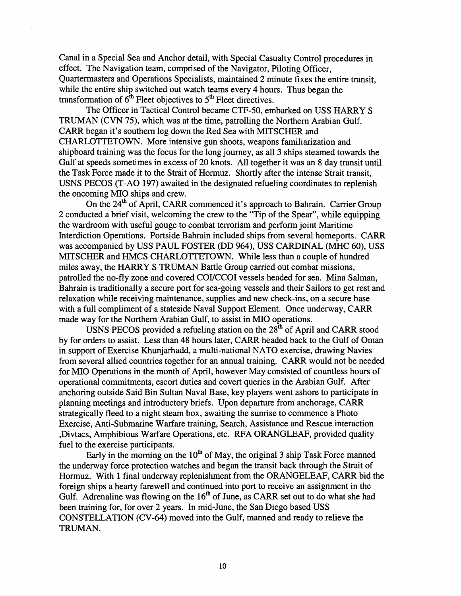Canal in a Special Sea and Anchor detail, with Special Casualty Control procedures in effect. The Navigation team, comprised of the Navigator, Piloting Officer, Quartermasters and Operations Specialists, maintained 2 minute fixes the entire transit, while the entire ship switched out watch teams every 4 hours. Thus began the transformation of  $6<sup>th</sup>$  Fleet objectives to  $5<sup>th</sup>$  Fleet directives.

The Officer in Tactical Control became CTF-50, embarked on USS HARRY S TRUMAN (CVN 75), which was at the time, patrolling the Northern Arabian Gulf. CARR began it's southern leg down the Red Sea with MlTSCHER and CHARLOTTETOWN. More intensive gun shoots, weapons familiarization and shipboard training was the focus for the long journey, as all **3** ships steamed towards the Gulf at speeds sometimes in excess of 20 knots. All together it was an 8 day transit until the Task Force made it to the Strait of Hormuz. Shortly after the intense Strait transit, USNS PECOS (T-A0 197) awaited in the designated refueling coordinates to replenish the oncoming MI0 ships and crew.

On the 24<sup>th</sup> of April, CARR commenced it's approach to Bahrain. Carrier Group 2 conducted a brief visit, welcoming the crew to the "Tip of the Spear", while equipping the wardroom with useful gouge to combat terrorism and perform joint Maritime Interdiction Operations. Portside Bahrain included ships from several homeports. CARR was accompanied by USS PAUL FOSTER (DD 964), USS CARDINAL (MHC 60), USS MlTSCHER and HMCS CHARLOTTETOWN. While less than a couple of hundred miles away, the HARRY S TRUMAN Battle Group carried out combat missions, patrolled the no-fly zone and covered COYCCOI vessels headed for sea. Mina Salman, Bahrain is traditionally a secure port for sea-going vessels and their Sailors to get rest and relaxation while receiving maintenance, supplies and new check-ins, on a secure base with a full compliment of a stateside Naval Support Element. Once underway, CARR made way for the Northern Arabian Gulf, to assist in MI0 operations.

USNS PECOS provided a refueling station on the 28<sup>th</sup> of April and CARR stood by for orders to assist. Less than 48 hours later, CARR headed back to the Gulf of Oman in support of Exercise Khunjarhadd, a multi-national NATO exercise, drawing Navies from several allied countries together for an annual training. CARR would not be needed for MI0 Operations in the month of April, however May consisted of countless hours of operational commitments, escort duties and covert queries in the Arabian Gulf. After anchoring outside Said Bin Sultan Naval Base, key players went ashore to participate in planning meetings and introductory briefs. Upon departure from anchorage, CARR strategically fleed to a night steam box, awaiting the sunrise to commence a Photo Exercise, Anti-Submarine Warfare training, Search, Assistance and Rescue interaction ,Divtacs, Amphibious Warfare Operations, etc. RFA ORANGLEAF, provided quality fuel to the exercise participants.

Early in the morning on the 10<sup>th</sup> of May, the original 3 ship Task Force manned the underway force protection watches and began the transit back through the Strait of Hormuz. With 1 final underway replenishment from the ORANGELEAF, CARR bid the foreign ships a hearty farewell and continued into port to receive an assignment in the Gulf. Adrenaline was flowing on the  $16<sup>th</sup>$  of June, as CARR set out to do what she had been training for, for over 2 years. In mid-June, the San Diego based USS CONSTELLATION (CV-64) moved into the Gulf, manned and ready to relieve the TRUMAN.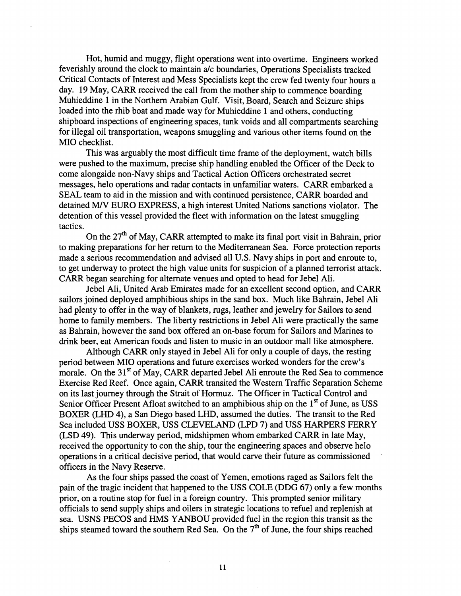Hot, humid and muggy, flight operations went into overtime. Engineers worked feverishly around the clock to maintain a/c boundaries, Operations Specialists tracked Critical Contacts of Interest and Mess Specialists kept the crew fed twenty four hours a day. 19 May, CARR received the call from the mother ship to commence boarding Muhieddine 1 in the Northern Arabian Gulf. Visit, Board, Search and Seizure ships loaded into the rhib boat and made way for Muhieddine 1 and others, conducting shipboard inspections of engineering spaces, tank voids and all compartments searching for illegal oil transportation, weapons smuggling and various other items found on the MI0 checklist.

This was arguably the most difficult time frame of the deployment, watch bills were pushed to the maximum, precise ship handling enabled the Officer of the Deck to come alongside non-Navy ships and Tactical Action Officers orchestrated secret messages, helo operations and radar contacts in unfamiliar waters. CARR embarked a SEAL team to aid in the mission and with continued persistence, CARR boarded and detained *MN* EURO EXPRESS, a high interest United Nations sanctions violator. The detention of this vessel provided the fleet with information on the latest smuggling tactics.

On the 27<sup>th</sup> of May, CARR attempted to make its final port visit in Bahrain, prior to making preparations for her return to the Mediterranean Sea. Force protection reports made a serious recommendation and advised all U.S. Navy ships in port and enroute to, to get underway to protect the high value units for suspicion of a planned terrorist attack. CARR began searching for alternate venues and opted to head for Jebel Ali.

Jebel Ali, United Arab Emirates made for an excellent second option, and CARR sailors joined deployed amphibious ships in the sand box. Much like Bahrain, Jebel Ali had plenty to offer in the way of blankets, rugs, leather and jewelry for Sailors to send home to family members. The liberty restrictions in Jebel Ali were practically the same as Bahrain, however the sand box offered an on-base forum for Sailors and Marines to drink beer, eat American foods and listen to music in an outdoor mall like atmosphere.

Although CARR only stayed in Jebel Ali for only a couple of days, the resting period between MI0 operations and future exercises worked wonders for the crew's morale. On the 31<sup>st</sup> of May, CARR departed Jebel Ali enroute the Red Sea to commence Exercise Red Reef. Once again, CARR transited the Western Traffic Separation Scheme on its last journey through the Strait of Hormuz. The Officer in Tactical Control and Senior Officer Present Afloat switched to an amphibious ship on the  $1<sup>st</sup>$  of June, as USS BOXER (LHD 4), a San Diego based LHD, assumed the duties. The transit to the Red Sea included USS BOXER, USS CLEVELAND (LPD 7) and USS HARPERS FERRY (LSD 49). This underway period, midshipmen whom embarked CARR in late May, received the opportunity to con the ship, tour the engineering spaces and observe helo operations in a critical decisive period, that would carve their future as commissioned officers in the Navy Reserve.

As the four ships passed the coast of Yemen, emotions raged as Sailors felt the pain of the tragic incident that happened to the USS COLE (DDG 67) only a few months prior, on a routine stop for fuel in a foreign country. This prompted senior military officials to send supply ships and oilers in strategic locations to refuel and replenish at sea. USNS PECOS and HMS YANBOU provided fuel in the region this transit as the ships steamed toward the southern Red Sea. On the  $7<sup>th</sup>$  of June, the four ships reached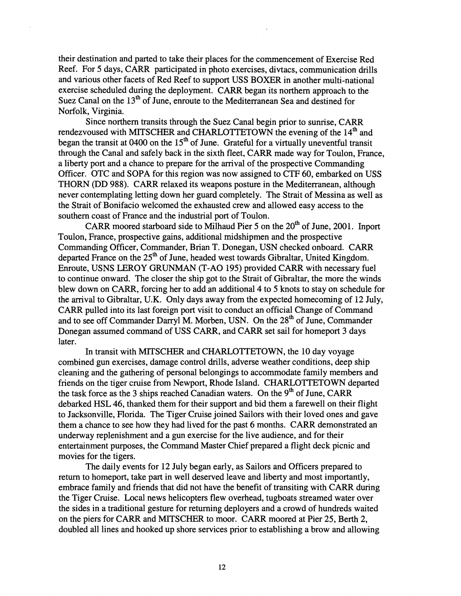their destination and parted to take their places for the commencement of Exercise Red Reef. For 5 days, CARR parlicipated in photo exercises, divtacs, communication drills and various other facets of Red Reef to support USS BOXER in another multi-national exercise scheduled during the deployment. CARR began its northern approach to the Suez Canal on the 13<sup>th</sup> of June, enroute to the Mediterranean Sea and destined for Norfolk, Virginia.

Since northern transits through the Suez Canal begin prior to sunrise, CARR rendezvoused with MITSCHER and CHARLOTTETOWN the evening of the  $14<sup>th</sup>$  and began the transit at 0400 on the  $15<sup>th</sup>$  of June. Grateful for a virtually uneventful transit through the Canal and safely back in the sixth fleet, CARR made way for Toulon, France, a liberty port and a chance to prepare for the arrival of the prospective Commanding Officer. OTC and SOPA for this region was now assigned to CTF 60, embarked on USS THORN (DD 988). CARR relaxed its weapons posture in the Mediterranean, although never contemplating letting down her guard completely. The Strait of Messina as well as the Strait of Bonifacio welcomed the exhausted crew and allowed easy access to the southern coast of France and the industrial port of Toulon.

CARR moored starboard side to Milhaud Pier 5 on the  $20<sup>th</sup>$  of June, 2001. Inport Toulon, France, prospective gains, additional midshipmen and the prospective Commanding Officer, Commander, Brian T. Donegan, USN checked onboard. CARR departed France on the  $25<sup>th</sup>$  of June, headed west towards Gibraltar, United Kingdom. Enroute, USNS LEROY GRUNMAN (T-A0 195) provided CARR with necessary fuel to continue onward. The closer the ship got to the Strait of Gibraltar, the more the winds blew down on CARR, forcing her to add an additional 4 to 5 knots to stay on schedule for the arrival to Gibraltar, U.K. Only days away from the expected homecoming of 12 July, CARR pulled into its last foreign port visit to conduct an official Change of Command and to see off Commander Darryl M. Morben, USN. On the 28<sup>th</sup> of June, Commander Donegan assumed command of USS CARR, and CARR set sail for homeport **3** days later.

In transit with MITSCHER and CHARLOTTETOWN, the 10 day voyage combined gun exercises, damage control drills, adverse weather conditions, deep ship cleaning and the gathering of personal belongings to accommodate family members and friends on the tiger cruise from Newport, Rhode Island. CHARLOTTETOWN departed the task force as the 3 ships reached Canadian waters. On the  $9<sup>th</sup>$  of June, CARR debarked HSL 46, thanked them for their support and bid them a farewell on their flight to Jacksonville, Florida. The Tiger Cruise joined Sailors with their loved ones and gave them a chance to see how they had lived for the past 6 months. CARR demonstrated an underway replenishment and a gun exercise for the live audence, and for their entertainment purposes, the Command Master Chief prepared a flight deck picnic and movies for the tigers.

The daily events for 12 July began early, as Sailors and Officers prepared to return to homeport, take part in well deserved leave and liberty and most importantly, embrace family and friends that did not have the benefit of transiting with CARR during the Tiger Cruise. Local news helicopters flew overhead, tugboats streamed water over the sides in a traditional gesture for returning deployers and a crowd of hundreds waited on the piers for CARR and MITSCHER to moor. CARR moored at Pier 25, Berth 2, doubled all lines and hooked up shore services prior to establishing a brow and allowing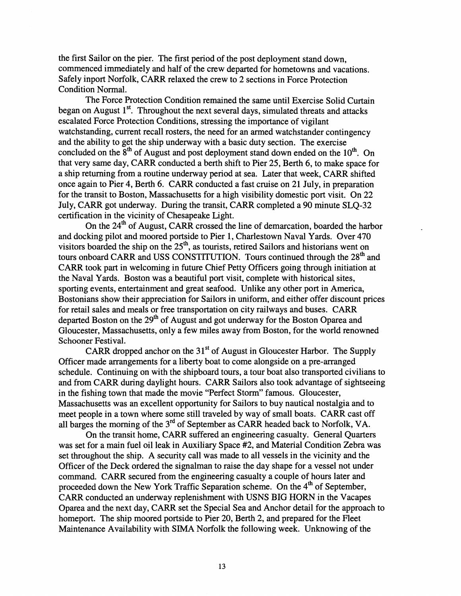the first Sailor on the pier. The first period of the post deployment stand down, commenced immediately and half of the crew departed for hometowns and vacations. Safely inport Norfolk, CARR relaxed the crew to 2 sections in Force Protection Condition Normal.

The Force Protection Condition remained the same until Exercise Solid Curtain began on August  $1<sup>st</sup>$ . Throughout the next several days, simulated threats and attacks escalated Force Protection Conditions, stressing the importance of vigilant watchstanding, current recall rosters, the need for an armed watchstander contingency and the ability to get the ship underway with a basic duty section. The exercise concluded on the  $8<sup>th</sup>$  of August and post deployment stand down ended on the  $10<sup>th</sup>$ . On that very same day, CARR conducted a berth shift to Pier 25, Berth 6, to make space for a ship returning from a routine underway period at sea. Later that week, CARR shifted once again to Pier 4, Berth 6. CARR conducted a fast cruise on 21 July, in preparation for the transit to Boston, Massachusetts for a high visibility domestic port visit. On 22 July, CARR got underway. During the transit, CARR completed a 90 minute SLQ-32 certification in the vicinity of Chesapeake Light.

On the  $24<sup>th</sup>$  of August, CARR crossed the line of demarcation, boarded the harbor and docking pilot and moored portside to Pier 1, Charlestown Naval Yards. Over 470 visitors boarded the ship on the 25<sup>th</sup>, as tourists, retired Sailors and historians went on tours onboard CARR and USS CONSTITUTION. Tours continued through the 28<sup>th</sup> and CARR took part in welcoming in future Chief Petty Officers going through initiation at the Naval Yards. Boston was a beautiful port visit, complete with historical sites, sporting events, entertainment and great seafood. Unlike any other port in America, Bostonians show their appreciation for Sailors in uniform, and either offer discount prices for retail sales and meals or free transportation on city railways and buses. CARR departed Boston on the 29<sup>th</sup> of August and got underway for the Boston Oparea and Gloucester, Massachusetts, only a few miles away from Boston, for the world renowned Schooner Festival.

CARR dropped anchor on the  $31<sup>st</sup>$  of August in Gloucester Harbor. The Supply Officer made arrangements for a liberty boat to come alongside on a pre-arranged schedule. Continuing on with the shipboard tours, a tour boat also transported civilians to and from CARR during daylight hours. CARR Sailors also took advantage of sightseeing in the fishing town that made the movie "Perfect Storm" famous. Gloucester, Massachusetts was an excellent opportunity for Sailors to buy nautical nostalgia and to meet people in a town where some still traveled by way of small boats. CARR cast off all barges the morning of the  $3<sup>rd</sup>$  of September as CARR headed back to Norfolk, VA.

On the transit home, CARR suffered an engineering casualty. General Quarters was set for a main fuel oil leak in Auxiliary Space #2, and Material Condition Zebra was set throughout the ship. A security call was made to all vessels in the vicinity and the Officer of the Deck ordered the signalman to raise the day shape for a vessel not under command. CARR secured from the engineering casualty a couple of hours later and proceeded down the New York Traffic Separation scheme. On the 4<sup>th</sup> of September, CARR conducted an underway replenishment with USNS BIG HORN in the Vacapes Oparea and the next day, CARR set the Special Sea and Anchor detail for the approach to homeport. The ship moored portside to Pier 20, Berth 2, and prepared for the Fleet Maintenance Availability with SIMA Norfolk the following week. Unknowing of the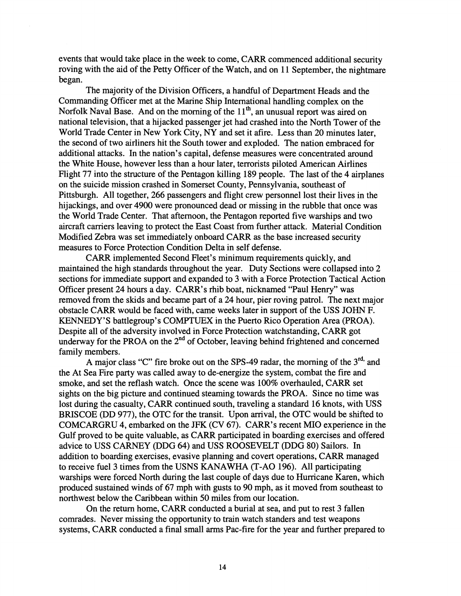events that would take place in the week to come, CARR commenced additional security roving with the aid of the Petty Officer of the Watch, and on 11 September, the nightmare began.

The majority of the Division Officers, a handful of Department Heads and the Commanding Officer met at the Marine Ship International handling complex on the Norfolk Naval Base. And on the morning of the  $11<sup>th</sup>$ , an unusual report was aired on national television, that a hijacked passenger jet had crashed into the North Tower of the World Trade Center in New York City, NY and set it afire. Less than 20 minutes later, the second of two airliners hit the South tower and exploded. The nation embraced for additional attacks. In the nation's capital, defense measures were concentrated around the White House, however less than a hour later, terrorists piloted American Airlines Flight 77 into the structure of the Pentagon killing 189 people. The last of the 4 airplanes on the suicide mission crashed in Somerset County, Pennsylvania, southeast of Pittsburgh. All together, 266 passengers and flight crew personnel lost their lives in the hijackings, and over 4900 were pronounced dead or missing in the rubble that once was the World Trade Center. That afternoon, the Pentagon reported five warships and two aircraft carriers leaving to protect the East Coast from further attack. Material Condition Modified Zebra was set immediately onboard CARR as the base increased security measures to Force Protection Condition Delta in self defense.

CARR implemented Second Fleet's minimum requirements quickly, and maintained the high standards throughout the year. Duty Sections were collapsed into 2 sections for immediate support and expanded to **3** with a Force Protection Tactical Action Officer present 24 hours a day. CARR's rhib boat, nicknamed "Paul Henry" was removed from the skids and became part of a 24 hour, pier roving patrol. The next major obstacle CARR would be faced with, came weeks later in support of the USS JOHN F. KENNEDY'S battlegroup's COMFTUEX in the Puerto Rico Operation Area (PROA). Despite all of the adversity involved in Force Protection watchstanding, CARR got underway for the PROA on the 2<sup>nd</sup> of October, leaving behind frightened and concerned family members.

A major class "C" fire broke out on the SPS-49 radar, the morning of the 3<sup>rd,</sup> and the At Sea Fire party was called away to de-energize the system, combat the fire and smoke, and set the reflash watch. Once the scene was 100% overhauled, CARR set sights on the big picture and continued steaming towards the PROA. Since no time was lost during the casualty, CARR continued south, traveling a standard 16 knots, with USS BRISCOE (DD 977), the OTC for the transit. Upon arrival, the OTC would be shifted to COMCARGRU 4, embarked on the JIX (CV 67). CARR's recent MI0 experience in the Gulf proved to be quite valuable, as CARR participated in boarding exercises and offered advice to USS CARNEY (DDG 64) and USS ROOSEVELT (DDG 80) Sailors. In addition to boarding exercises, evasive planning and covert operations, CARR managed to receive fuel **3** times from the USNS KANAWHA (T-A0 196). All participating warships were forced North during the last couple of days due to Hurricane Karen, which produced sustained winds of 67 mph with gusts to 90 mph, as it moved from southeast to northwest below the Caribbean within 50 miles from our location.

On the return home, CARR conducted a burial at sea, and put to rest **3** fallen comrades. Never missing the opportunity to train watch standers and test weapons systems, CARR conducted a final small arms Pac-fire for the year and further prepared to